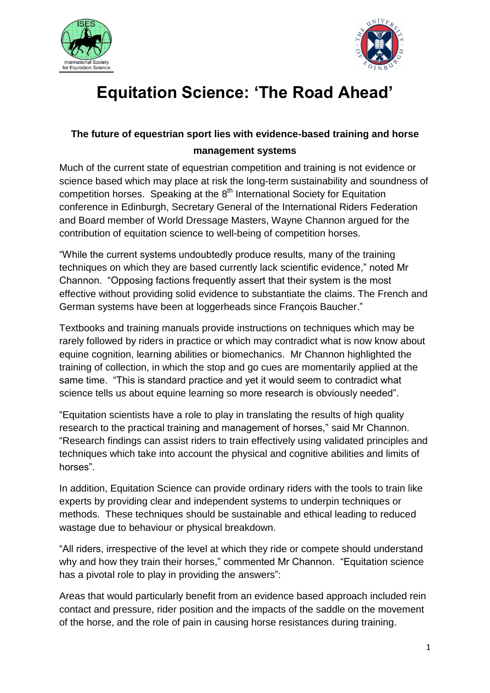



## **Equitation Science: 'The Road Ahead'**

## **The future of equestrian sport lies with evidence-based training and horse management systems**

Much of the current state of equestrian competition and training is not evidence or science based which may place at risk the long-term sustainability and soundness of competition horses. Speaking at the 8<sup>th</sup> International Society for Equitation conference in Edinburgh, Secretary General of the International Riders Federation and Board member of World Dressage Masters, Wayne Channon argued for the contribution of equitation science to well-being of competition horses.

"While the current systems undoubtedly produce results, many of the training techniques on which they are based currently lack scientific evidence," noted Mr Channon. "Opposing factions frequently assert that their system is the most effective without providing solid evidence to substantiate the claims. The French and German systems have been at loggerheads since François Baucher."

Textbooks and training manuals provide instructions on techniques which may be rarely followed by riders in practice or which may contradict what is now know about equine cognition, learning abilities or biomechanics. Mr Channon highlighted the training of collection, in which the stop and go cues are momentarily applied at the same time. "This is standard practice and yet it would seem to contradict what science tells us about equine learning so more research is obviously needed".

"Equitation scientists have a role to play in translating the results of high quality research to the practical training and management of horses," said Mr Channon. "Research findings can assist riders to train effectively using validated principles and techniques which take into account the physical and cognitive abilities and limits of horses".

In addition, Equitation Science can provide ordinary riders with the tools to train like experts by providing clear and independent systems to underpin techniques or methods. These techniques should be sustainable and ethical leading to reduced wastage due to behaviour or physical breakdown.

"All riders, irrespective of the level at which they ride or compete should understand why and how they train their horses," commented Mr Channon. "Equitation science has a pivotal role to play in providing the answers":

Areas that would particularly benefit from an evidence based approach included rein contact and pressure, rider position and the impacts of the saddle on the movement of the horse, and the role of pain in causing horse resistances during training.